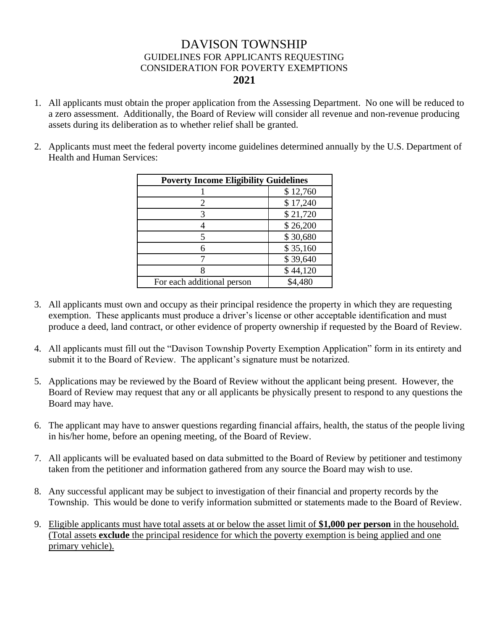## DAVISON TOWNSHIP GUIDELINES FOR APPLICANTS REQUESTING CONSIDERATION FOR POVERTY EXEMPTIONS **2021**

- 1. All applicants must obtain the proper application from the Assessing Department. No one will be reduced to a zero assessment. Additionally, the Board of Review will consider all revenue and non-revenue producing assets during its deliberation as to whether relief shall be granted.
- 2. Applicants must meet the federal poverty income guidelines determined annually by the U.S. Department of Health and Human Services:

| <b>Poverty Income Eligibility Guidelines</b> |          |  |  |  |
|----------------------------------------------|----------|--|--|--|
|                                              | \$12,760 |  |  |  |
| $\mathcal{D}_{\cdot}$                        | \$17,240 |  |  |  |
|                                              | \$21,720 |  |  |  |
|                                              | \$26,200 |  |  |  |
|                                              | \$30,680 |  |  |  |
|                                              | \$35,160 |  |  |  |
|                                              | \$39,640 |  |  |  |
|                                              | \$44,120 |  |  |  |
| For each additional person                   | \$4,480  |  |  |  |

- 3. All applicants must own and occupy as their principal residence the property in which they are requesting exemption. These applicants must produce a driver's license or other acceptable identification and must produce a deed, land contract, or other evidence of property ownership if requested by the Board of Review.
- 4. All applicants must fill out the "Davison Township Poverty Exemption Application" form in its entirety and submit it to the Board of Review. The applicant's signature must be notarized.
- 5. Applications may be reviewed by the Board of Review without the applicant being present. However, the Board of Review may request that any or all applicants be physically present to respond to any questions the Board may have.
- 6. The applicant may have to answer questions regarding financial affairs, health, the status of the people living in his/her home, before an opening meeting, of the Board of Review.
- 7. All applicants will be evaluated based on data submitted to the Board of Review by petitioner and testimony taken from the petitioner and information gathered from any source the Board may wish to use.
- 8. Any successful applicant may be subject to investigation of their financial and property records by the Township. This would be done to verify information submitted or statements made to the Board of Review.
- 9. Eligible applicants must have total assets at or below the asset limit of **\$1,000 per person** in the household. (Total assets **exclude** the principal residence for which the poverty exemption is being applied and one primary vehicle).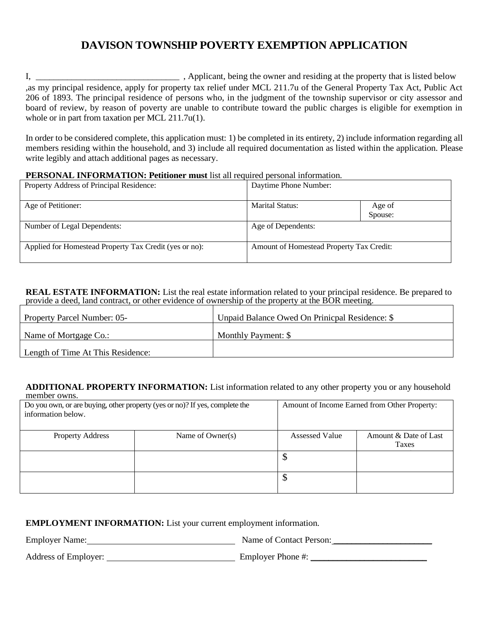# **DAVISON TOWNSHIP POVERTY EXEMPTION APPLICATION**

I, \_\_\_\_\_\_\_\_\_\_\_\_\_\_\_\_\_\_\_\_\_\_\_\_\_\_\_\_\_\_\_\_ , Applicant, being the owner and residing at the property that is listed below ,as my principal residence, apply for property tax relief under MCL 211.7u of the General Property Tax Act, Public Act 206 of 1893. The principal residence of persons who, in the judgment of the township supervisor or city assessor and board of review, by reason of poverty are unable to contribute toward the public charges is eligible for exemption in whole or in part from taxation per MCL 211.7u(1).

In order to be considered complete, this application must: 1) be completed in its entirety, 2) include information regarding all members residing within the household, and 3) include all required documentation as listed within the application. Please write legibly and attach additional pages as necessary.

#### **PERSONAL INFORMATION: Petitioner must** list all required personal information.

| Property Address of Principal Residence:               | Daytime Phone Number:                    |                   |
|--------------------------------------------------------|------------------------------------------|-------------------|
| Age of Petitioner:                                     | Marital Status:                          | Age of<br>Spouse: |
| Number of Legal Dependents:                            | Age of Dependents:                       |                   |
| Applied for Homestead Property Tax Credit (yes or no): | Amount of Homestead Property Tax Credit: |                   |

**REAL ESTATE INFORMATION:** List the real estate information related to your principal residence. Be prepared to provide a deed, land contract, or other evidence of ownership of the property at the BOR meeting.

| <b>Property Parcel Number: 05-</b> | Unpaid Balance Owed On Prinicpal Residence: \$ |
|------------------------------------|------------------------------------------------|
| Name of Mortgage Co.:              | Monthly Payment: \$                            |
| Length of Time At This Residence:  |                                                |

#### **ADDITIONAL PROPERTY INFORMATION:** List information related to any other property you or any household member owns.

| Do you own, or are buying, other property (yes or no)? If yes, complete the<br>information below. |  |                | Amount of Income Earned from Other Property: |
|---------------------------------------------------------------------------------------------------|--|----------------|----------------------------------------------|
| <b>Property Address</b><br>Name of Owner(s)                                                       |  | Assessed Value | Amount & Date of Last<br>Taxes               |
|                                                                                                   |  | Φ              |                                              |
|                                                                                                   |  | Φ              |                                              |

#### **EMPLOYMENT INFORMATION:** List your current employment information.

Employer Name: Name of Contact Person:

Address of Employer: Employer Phone #: \_\_\_\_\_\_\_\_\_\_\_\_\_\_\_\_\_\_\_\_\_\_\_\_\_\_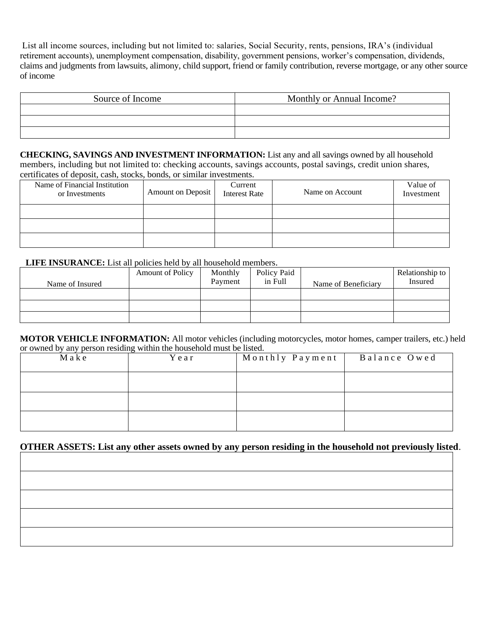List all income sources, including but not limited to: salaries, Social Security, rents, pensions, IRA's (individual retirement accounts), unemployment compensation, disability, government pensions, worker's compensation, dividends, claims and judgments from lawsuits, alimony, child support, friend or family contribution, reverse mortgage, or any other source of income

| Source of Income | Monthly or Annual Income? |
|------------------|---------------------------|
|                  |                           |
|                  |                           |
|                  |                           |

**CHECKING, SAVINGS AND INVESTMENT INFORMATION:** List any and all savings owned by all household members, including but not limited to: checking accounts, savings accounts, postal savings, credit union shares, certificates of deposit, cash, stocks, bonds, or similar investments.

| Name of Financial Institution<br>or Investments | Amount on Deposit | Current<br><b>Interest Rate</b> | Name on Account | Value of<br>Investment |
|-------------------------------------------------|-------------------|---------------------------------|-----------------|------------------------|
|                                                 |                   |                                 |                 |                        |
|                                                 |                   |                                 |                 |                        |
|                                                 |                   |                                 |                 |                        |

#### **LIFE INSURANCE:** List all policies held by all household members.

| Name of Insured | <b>Amount of Policy</b> | Monthly<br>Payment | Policy Paid<br>in Full | Name of Beneficiary | Relationship to<br>Insured |
|-----------------|-------------------------|--------------------|------------------------|---------------------|----------------------------|
|                 |                         |                    |                        |                     |                            |
|                 |                         |                    |                        |                     |                            |
|                 |                         |                    |                        |                     |                            |

**MOTOR VEHICLE INFORMATION:** All motor vehicles (including motorcycles, motor homes, camper trailers, etc.) held or owned by any person residing within the household must be listed.

| Make | Year | Monthly Payment | Balance Owed |
|------|------|-----------------|--------------|
|      |      |                 |              |
|      |      |                 |              |
|      |      |                 |              |

#### **OTHER ASSETS: List any other assets owned by any person residing in the household not previously listed**.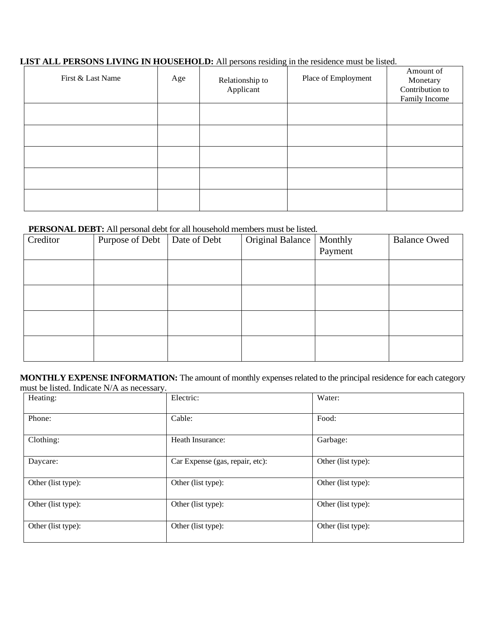### **LIST ALL PERSONS LIVING IN HOUSEHOLD:** All persons residing in the residence must be listed.

| First & Last Name | Age | Relationship to<br>Applicant | Place of Employment | Amount of<br>Monetary<br>Contribution to<br>Family Income |
|-------------------|-----|------------------------------|---------------------|-----------------------------------------------------------|
|                   |     |                              |                     |                                                           |
|                   |     |                              |                     |                                                           |
|                   |     |                              |                     |                                                           |
|                   |     |                              |                     |                                                           |
|                   |     |                              |                     |                                                           |

### **PERSONAL DEBT:** All personal debt for all household members must be listed.

| Creditor | Purpose of Debt | Date of Debt | Original Balance | Monthly<br>Payment | <b>Balance Owed</b> |
|----------|-----------------|--------------|------------------|--------------------|---------------------|
|          |                 |              |                  |                    |                     |
|          |                 |              |                  |                    |                     |
|          |                 |              |                  |                    |                     |
|          |                 |              |                  |                    |                     |

**MONTHLY EXPENSE INFORMATION:** The amount of monthly expenses related to the principal residence for each category must be listed. Indicate N/A as necessary.

| Heating:           | Electric:                       | Water:             |
|--------------------|---------------------------------|--------------------|
| Phone:             | Cable:                          | Food:              |
| Clothing:          | Heath Insurance:                | Garbage:           |
| Daycare:           | Car Expense (gas, repair, etc): | Other (list type): |
| Other (list type): | Other (list type):              | Other (list type): |
| Other (list type): | Other (list type):              | Other (list type): |
| Other (list type): | Other (list type):              | Other (list type): |